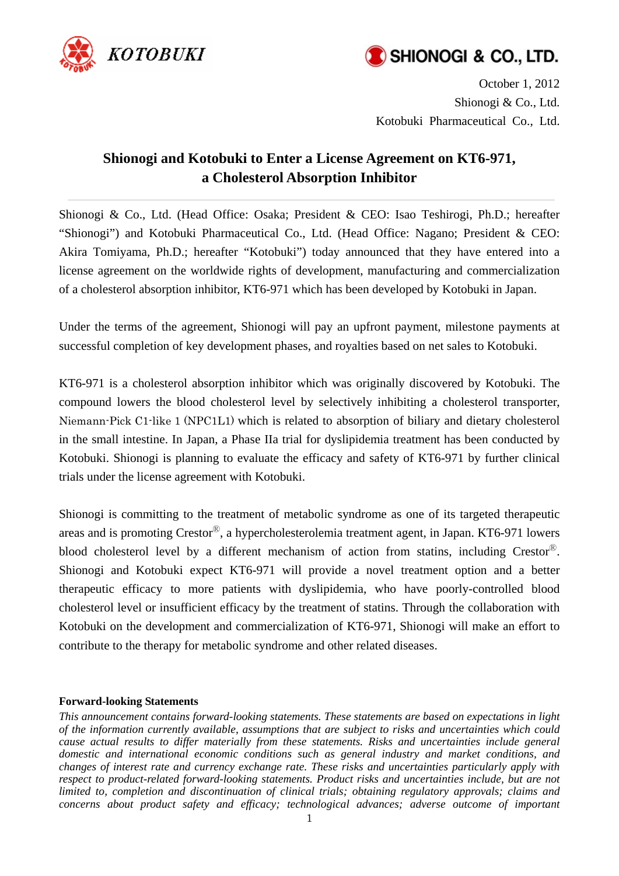



October 1, 2012 Shionogi & Co., Ltd. Kotobuki Pharmaceutical Co., Ltd.

## **Shionogi and Kotobuki to Enter a License Agreement on KT6-971, a Cholesterol Absorption Inhibitor**

Shionogi & Co., Ltd. (Head Office: Osaka; President & CEO: Isao Teshirogi, Ph.D.; hereafter "Shionogi") and Kotobuki Pharmaceutical Co., Ltd. (Head Office: Nagano; President & CEO: Akira Tomiyama, Ph.D.; hereafter "Kotobuki") today announced that they have entered into a license agreement on the worldwide rights of development, manufacturing and commercialization of a cholesterol absorption inhibitor, KT6-971 which has been developed by Kotobuki in Japan.

Under the terms of the agreement, Shionogi will pay an upfront payment, milestone payments at successful completion of key development phases, and royalties based on net sales to Kotobuki.

KT6-971 is a cholesterol absorption inhibitor which was originally discovered by Kotobuki. The compound lowers the blood cholesterol level by selectively inhibiting a cholesterol transporter, Niemann-Pick C1-like 1 (NPC1L1) which is related to absorption of biliary and dietary cholesterol in the small intestine. In Japan, a Phase IIa trial for dyslipidemia treatment has been conducted by Kotobuki. Shionogi is planning to evaluate the efficacy and safety of KT6-971 by further clinical trials under the license agreement with Kotobuki.

Shionogi is committing to the treatment of metabolic syndrome as one of its targeted therapeutic areas and is promoting  $Crestor^{\circledR}$ , a hypercholesterolemia treatment agent, in Japan. KT6-971 lowers blood cholesterol level by a different mechanism of action from statins, including Crestor<sup>®</sup>. Shionogi and Kotobuki expect KT6-971 will provide a novel treatment option and a better therapeutic efficacy to more patients with dyslipidemia, who have poorly-controlled blood cholesterol level or insufficient efficacy by the treatment of statins. Through the collaboration with Kotobuki on the development and commercialization of KT6-971, Shionogi will make an effort to contribute to the therapy for metabolic syndrome and other related diseases.

## **Forward-looking Statements**

*This announcement contains forward-looking statements. These statements are based on expectations in light of the information currently available, assumptions that are subject to risks and uncertainties which could cause actual results to differ materially from these statements. Risks and uncertainties include general domestic and international economic conditions such as general industry and market conditions, and changes of interest rate and currency exchange rate. These risks and uncertainties particularly apply with respect to product-related forward-looking statements. Product risks and uncertainties include, but are not limited to, completion and discontinuation of clinical trials; obtaining regulatory approvals; claims and concerns about product safety and efficacy; technological advances; adverse outcome of important*